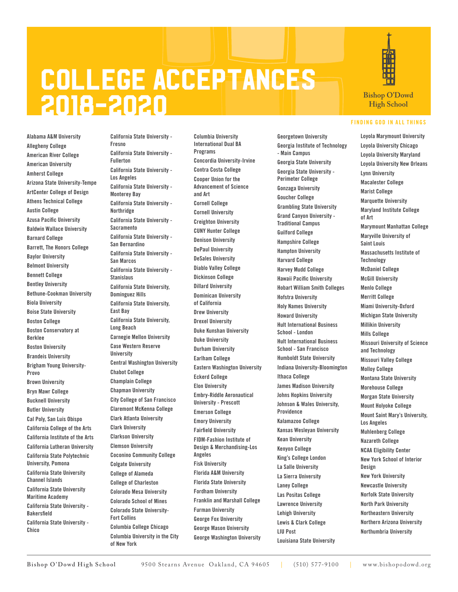## College Acceptances 2018-2020

Alabama A&M University Allegheny College American River College American University Amherst College Arizona State University-Tempe ArtCenter College of Design Athens Technical College Austin College Azusa Pacific University Baldwin Wallace University Barnard College Barrett, The Honors College Baylor University Belmont University Bennett College Bentley University Bethune-Cookman University Biola University Boise State University Boston College Boston Conservatory at Berklee Boston University Brandeis University Brigham Young University-Provo Brown University Bryn Mawr College Bucknell University Butler University Cal Poly, San Luis Obispo California College of the Arts California Institute of the Arts California Lutheran University California State Polytechnic University, Pomona California State University Channel Islands California State University Maritime Academy California State University - Bakersfield California State University - Chico

California State University - Fresno California State University - Fullerton California State University - Los Angeles California State University - Monterey Bay California State University - Northridge California State University - Sacramento California State University - San Bernardino California State University - San Marcos California State University - **Stanislaus** California State University, Dominguez Hills California State University, East Bay California State University, Long Beach Carnegie Mellon University Case Western Reserve **University** Central Washington University Chabot College Champlain College Chapman University City College of San Francisco Claremont McKenna College Clark Atlanta University Clark University Clarkson University Clemson University Coconino Community College Colgate University College of Alameda College of Charleston Colorado Mesa University Colorado School of Mines Colorado State University-Fort Collins Columbia College Chicago Columbia University in the City of New York

Columbia University International Dual BA Programs Concordia University-Irvine Contra Costa College Cooper Union for the Advancement of Science and Art Cornell College Cornell University Creighton University CUNY Hunter College Denison University DePaul University DeSales University Diablo Valley College Dickinson College Dillard University Dominican University of California Drew University Drexel University Duke Kunshan University Duke University Durham University Earlham College Eastern Washington University Eckerd College Elon University Embry-Riddle Aeronautical University - Prescott Emerson College Emory University Fairfield University FIDM-Fashion Institute of Design & Merchandising-Los Angeles Fisk University Florida A&M University Florida State University Fordham University Franklin and Marshall College Furman University George Fox University George Mason University George Washington University

Georgetown University Georgia Institute of Technology - Main Campus Georgia State University Georgia State University - Perimeter College Gonzaga University Goucher College Grambling State University Grand Canyon University - Traditional Campus Guilford College Hampshire College Hampton University Harvard College Harvey Mudd College Hawaii Pacific University Hobart William Smith Colleges Hofstra University Holy Names University Howard University Hult International Business School - London Hult International Business School - San Francisco Humboldt State University Indiana University-Bloomington Ithaca College James Madison University Johns Hopkins University Johnson & Wales University, Providence Kalamazoo College Kansas Wesleyan University Kean University Kenyon College King's College London La Salle University La Sierra University Laney College Las Positas College Lawrence University Lehigh University Lewis & Clark College LIU Post Louisiana State University



**Bishop O'Dowd High School**

## FINDING GOD IN ALL THINGS

Loyola Marymount University Loyola University Chicago Loyola University Maryland Loyola University New Orleans Lynn University Macalester College Marist College Marquette University Maryland Institute College of Art Marymount Manhattan College Maryville University of Saint Louis Massachusetts Institute of **Technology** McDaniel College McGill University Menlo College Merritt College Miami University-Oxford Michigan State University Millikin University Mills College Missouri University of Science and Technology Missouri Valley College Molloy College Montana State University Morehouse College Morgan State University Mount Holyoke College Mount Saint Mary's University, Los Angeles Muhlenberg College Nazareth College NCAA Eligibility Center New York School of Interior Design New York University Newcastle University Norfolk State University North Park University Northeastern University Northern Arizona University Northumbria University